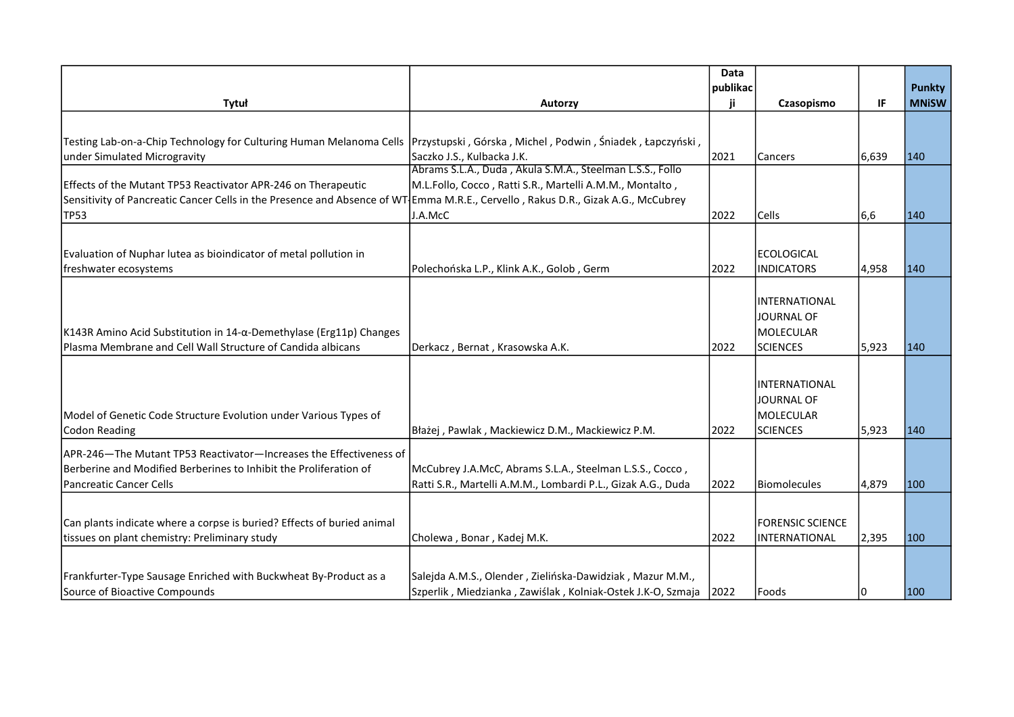|                                                                                                                                   |                                                              | publikac |                                                              |       | <b>Punkty</b> |
|-----------------------------------------------------------------------------------------------------------------------------------|--------------------------------------------------------------|----------|--------------------------------------------------------------|-------|---------------|
| Tytuł                                                                                                                             | Autorzy                                                      | ji       | Czasopismo                                                   | IF    | <b>MNiSW</b>  |
|                                                                                                                                   |                                                              |          |                                                              |       |               |
| Testing Lab-on-a-Chip Technology for Culturing Human Melanoma Cells  Przystupski, Górska, Michel, Podwin, Śniadek, Łapczyński,    |                                                              |          |                                                              |       |               |
| under Simulated Microgravity                                                                                                      | Saczko J.S., Kulbacka J.K.                                   | 2021     | Cancers                                                      | 6,639 | 140           |
|                                                                                                                                   | Abrams S.L.A., Duda, Akula S.M.A., Steelman L.S.S., Follo    |          |                                                              |       |               |
| Effects of the Mutant TP53 Reactivator APR-246 on Therapeutic                                                                     | M.L.Follo, Cocco, Ratti S.R., Martelli A.M.M., Montalto,     |          |                                                              |       |               |
| Sensitivity of Pancreatic Cancer Cells in the Presence and Absence of WT Emma M.R.E., Cervello, Rakus D.R., Gizak A.G., McCubrey  |                                                              |          |                                                              |       |               |
| <b>TP53</b>                                                                                                                       | J.A.McC                                                      | 2022     | <b>Cells</b>                                                 | 6,6   | 140           |
|                                                                                                                                   |                                                              |          |                                                              |       |               |
|                                                                                                                                   |                                                              |          |                                                              |       |               |
| Evaluation of Nuphar lutea as bioindicator of metal pollution in                                                                  |                                                              |          | <b>IECOLOGICAL</b>                                           |       |               |
| freshwater ecosystems                                                                                                             | Polechońska L.P., Klink A.K., Golob, Germ                    | 2022     | <b>INDICATORS</b>                                            | 4,958 | 140           |
| K143R Amino Acid Substitution in 14-α-Demethylase (Erg11p) Changes<br>Plasma Membrane and Cell Wall Structure of Candida albicans | Derkacz, Bernat, Krasowska A.K.                              | 2022     | INTERNATIONAL<br>JOURNAL OF<br>MOLECULAR<br><b>SCIENCES</b>  | 5,923 | 140           |
|                                                                                                                                   |                                                              |          |                                                              |       |               |
| Model of Genetic Code Structure Evolution under Various Types of<br><b>Codon Reading</b>                                          | Błażej, Pawlak, Mackiewicz D.M., Mackiewicz P.M.             | 2022     | IINTERNATIONAL<br>JOURNAL OF<br>MOLECULAR<br><b>SCIENCES</b> | 5,923 | 140           |
| APR-246-The Mutant TP53 Reactivator-Increases the Effectiveness of                                                                |                                                              |          |                                                              |       |               |
| Berberine and Modified Berberines to Inhibit the Proliferation of                                                                 | McCubrey J.A.McC, Abrams S.L.A., Steelman L.S.S., Cocco,     |          |                                                              |       |               |
| Pancreatic Cancer Cells                                                                                                           | Ratti S.R., Martelli A.M.M., Lombardi P.L., Gizak A.G., Duda | 2022     | Biomolecules                                                 | 4,879 | 100           |
|                                                                                                                                   |                                                              |          |                                                              |       |               |
| Can plants indicate where a corpse is buried? Effects of buried animal<br>tissues on plant chemistry: Preliminary study           | Cholewa, Bonar, Kadej M.K.                                   | 2022     | <b>FORENSIC SCIENCE</b><br>INTERNATIONAL                     | 2,395 | 100           |
| Frankfurter-Type Sausage Enriched with Buckwheat By-Product as a<br>Source of Bioactive Compounds                                 | Salejda A.M.S., Olender, Zielińska-Dawidziak, Mazur M.M.,    | 2022     |                                                              |       | 100           |
|                                                                                                                                   | Szperlik, Miedzianka, Zawiślak, Kolniak-Ostek J.K-O, Szmaja  |          | Foods                                                        |       |               |